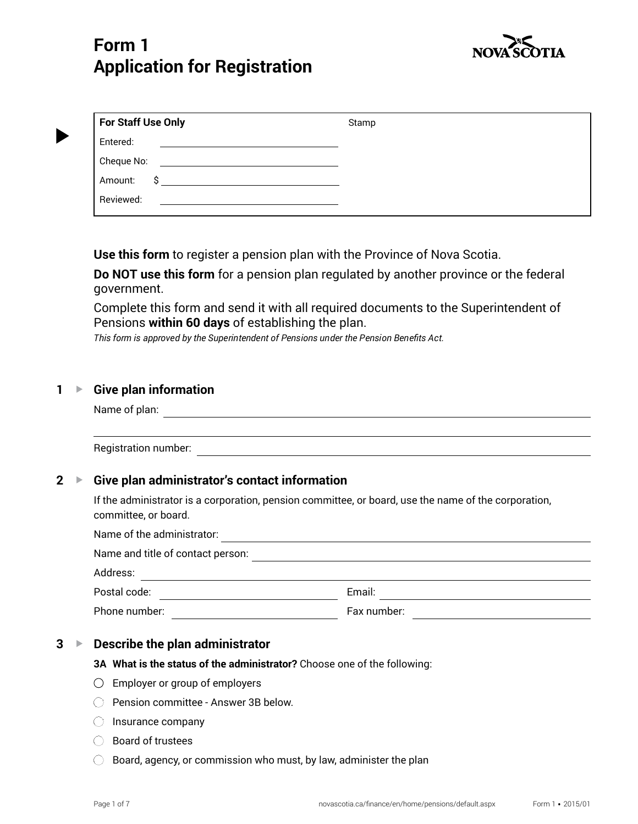# **Form 1 Application for Registration**



| <b>For Staff Use Only</b> | Stamp |  |
|---------------------------|-------|--|
| Entered:                  |       |  |
| Cheque No:                |       |  |
| Amount:<br>S              |       |  |
| Reviewed:                 |       |  |

**Use this form** to register a pension plan with the Province of Nova Scotia.

**Do NOT use this form** for a pension plan regulated by another province or the federal government.

Complete this form and send it with all required documents to the Superintendent of Pensions **within 60 days** of establishing the plan.

*This form is approved by the Superintendent of Pensions under the Pension Benefits Act.*

#### **1** ▶ Give plan information

Name of plan: The state of plane and the state of plane and the state of plane and the state of  $\sim$ 

Registration number:

## **2 ▶ Give plan administrator's contact information**

If the administrator is a corporation, pension committee, or board, use the name of the corporation, committee, or board.

| Name of the administrator:        |             |  |  |
|-----------------------------------|-------------|--|--|
| Name and title of contact person: |             |  |  |
| Address:                          |             |  |  |
| Postal code:                      | Email:      |  |  |
| Phone number:                     | Fax number: |  |  |

#### **3 ▶ Describe the plan administrator**

- **3A What is the status of the administrator?** Choose one of the following:
- $\bigcirc$  Employer or group of employers
- Pension committee Answer 3B below.
- $\bigcirc$  Insurance company
- $\bigcirc$  Board of trustees
- $\bigcirc$  Board, agency, or commission who must, by law, administer the plan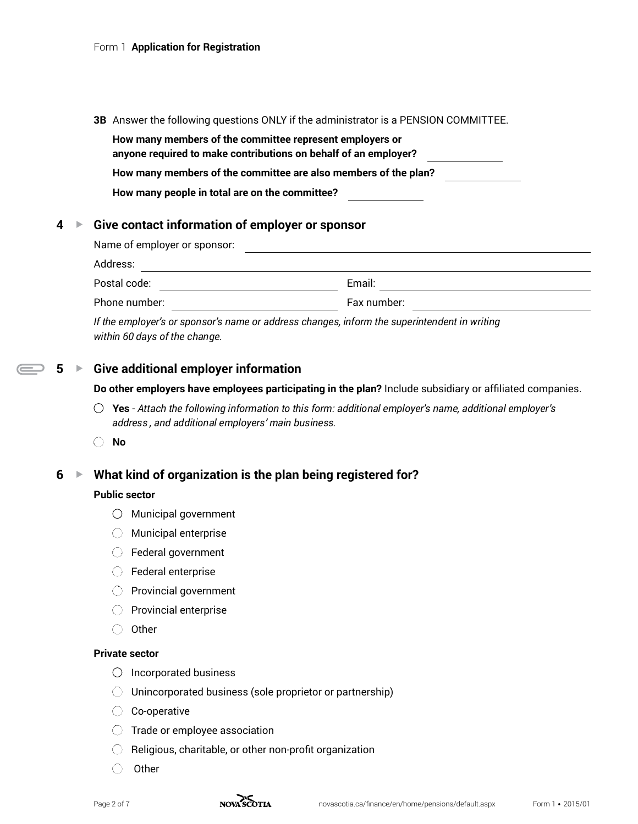**3B** Answer the following questions ONLY if the administrator is a PENSION COMMITTEE. **How many members of the committee represent employers or anyone required to make contributions on behalf of an employer? How many members of the committee are also members of the plan? How many people in total are on the committee?** 

# **4** ▶ Give contact information of employer or sponsor

| Email:      |
|-------------|
| Fax number: |
|             |

*If the employer's or sponsor's name or address changes, inform the superintendent in writing within 60 days of the change.*

# **5** ► Give additional employer information

**Do other employers have employees participating in the plan?** Include subsidiary or affiliated companies.

**Yes** - *Attach the following information to this form: additional employer's name, additional employer's address , and additional employers' main business.*

**No**

# **6** G **What kind of organization is the plan being registered for?**

#### **Public sector**

- $\bigcirc$  Municipal government
- $\bigcirc$  Municipal enterprise
- $\bigcirc$  Federal government
- $\bigcirc$  Federal enterprise
- $\bigcirc$  Provincial government
- $\bigcirc$  Provincial enterprise
- ◯ Other

#### **Private sector**

- $\bigcirc$  Incorporated business
- $\bigcirc$  Unincorporated business (sole proprietor or partnership)
- $\bigcirc$  Co-operative
- $\bigcirc$  Trade or employee association
- $\bigcirc$  Religious, charitable, or other non-profit organization
- $\bigcirc$  Other

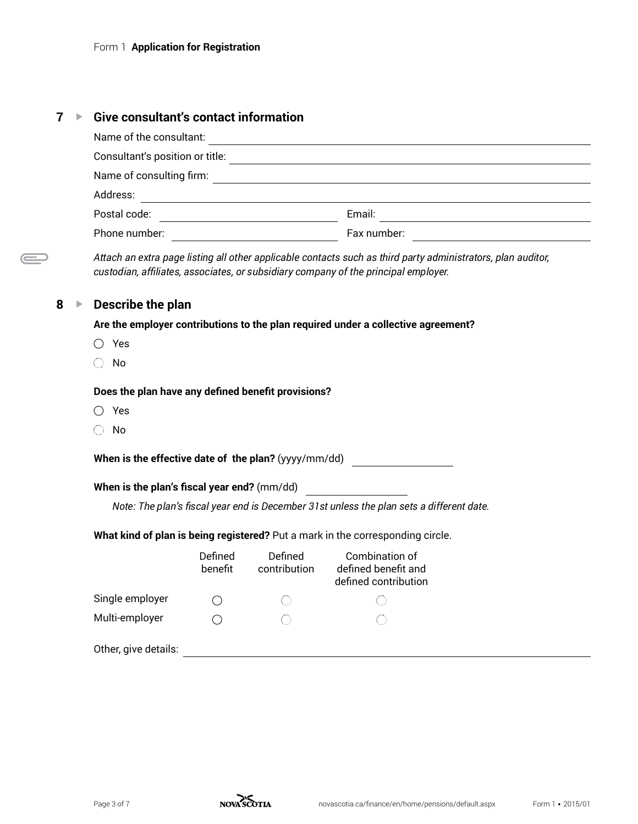## **7 ▶ Give consultant's contact information**

| Name of the consultant:         |             |
|---------------------------------|-------------|
| Consultant's position or title: |             |
| Name of consulting firm:        |             |
| Address:                        |             |
| Postal code:                    | Email:      |
| Phone number:                   | Fax number: |

*Attach an extra page listing all other applicable contacts such as third party administrators, plan auditor, custodian, affiliates, associates, or subsidiary company of the principal employer.*

# **8** ► Describe the plan

**Are the employer contributions to the plan required under a collective agreement?**

- Yes
- No

#### **Does the plan have any defined benefit provisions?**

- Yes
- No

**When is the effective date of the plan?** (yyyy/mm/dd)

**When is the plan's fiscal year end?** (mm/dd)

*Note: The plan's fiscal year end is December 31st unless the plan sets a different date.*

**What kind of plan is being registered?** Put a mark in the corresponding circle.

|                      | Defined<br>benefit | Defined<br>contribution | Combination of<br>defined benefit and<br>defined contribution |  |
|----------------------|--------------------|-------------------------|---------------------------------------------------------------|--|
| Single employer      |                    |                         |                                                               |  |
| Multi-employer       |                    |                         |                                                               |  |
| Other, give details: |                    |                         |                                                               |  |

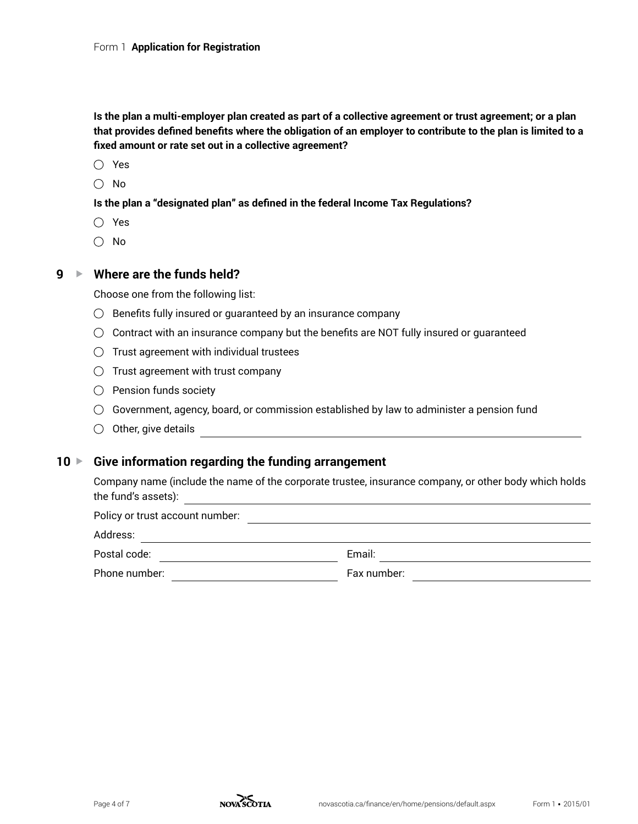**Is the plan a multi-employer plan created as part of a collective agreement or trust agreement; or a plan that provides defined benefits where the obligation of an employer to contribute to the plan is limited to a fixed amount or rate set out in a collective agreement?**

- ◯ Yes
- No

**Is the plan a "designated plan" as defined in the federal Income Tax Regulations?**

- Yes
- O No

#### **9 ► Where are the funds held?**

Choose one from the following list:

- $\bigcirc$  Benefits fully insured or guaranteed by an insurance company
- $\bigcirc$  Contract with an insurance company but the benefits are NOT fully insured or quaranteed
- $\bigcirc$  Trust agreement with individual trustees
- $\bigcirc$  Trust agreement with trust company
- $\bigcirc$  Pension funds society
- $\bigcirc$  Government, agency, board, or commission established by law to administer a pension fund
- $\bigcirc$  Other, give details  $\bigcirc$

#### **10** ► Give information regarding the funding arrangement

Company name (include the name of the corporate trustee, insurance company, or other body which holds the fund's assets):

| Policy or trust account number: |             |  |
|---------------------------------|-------------|--|
| Address:                        |             |  |
| Postal code:                    | Email:      |  |
| Phone number:                   | Fax number: |  |
|                                 |             |  |

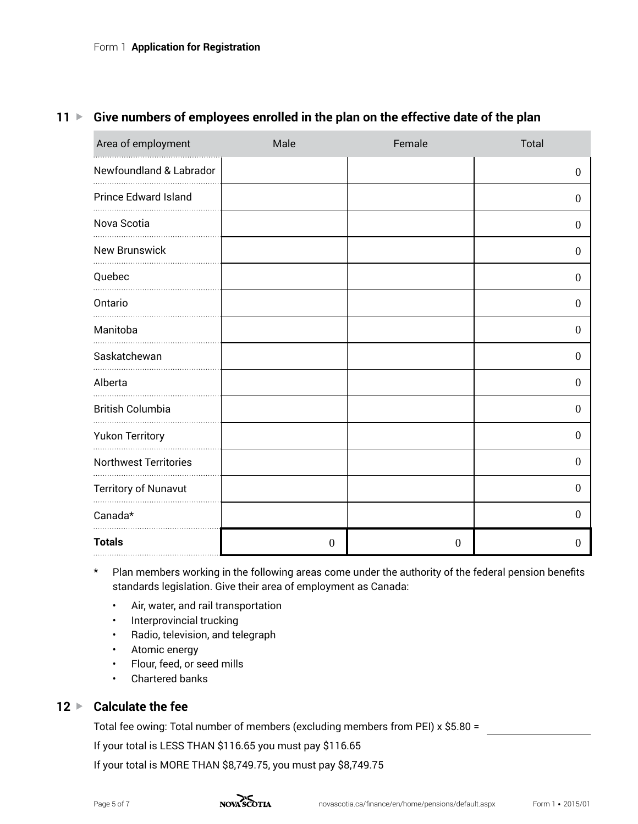# **11** ► Give numbers of employees enrolled in the plan on the effective date of the plan

| Area of employment           | Male     | Female         | Total            |
|------------------------------|----------|----------------|------------------|
| Newfoundland & Labrador      |          |                | $\overline{0}$   |
| Prince Edward Island         |          |                | $\boldsymbol{0}$ |
| Nova Scotia                  |          |                | $\boldsymbol{0}$ |
| New Brunswick                |          |                | $\theta$         |
| Quebec                       |          |                | $\boldsymbol{0}$ |
| Ontario                      |          |                | $\boldsymbol{0}$ |
| Manitoba                     |          |                | $\overline{0}$   |
| Saskatchewan                 |          |                | $\boldsymbol{0}$ |
| Alberta                      |          |                | $\overline{0}$   |
| <b>British Columbia</b>      |          |                | $\overline{0}$   |
| <b>Yukon Territory</b>       |          |                | $\boldsymbol{0}$ |
| <b>Northwest Territories</b> |          |                | $\boldsymbol{0}$ |
| <b>Territory of Nunavut</b>  |          |                | $\theta$         |
| Canada*                      |          |                | $\boldsymbol{0}$ |
| <b>Totals</b>                | $\theta$ | $\overline{0}$ | 0                |

\* Plan members working in the following areas come under the authority of the federal pension benefits standards legislation. Give their area of employment as Canada:

- Air, water, and rail transportation
- Interprovincial trucking
- Radio, television, and telegraph
- Atomic energy
- Flour, feed, or seed mills
- Chartered banks

# **12 ► Calculate the fee**

Total fee owing: Total number of members (excluding members from PEI) x \$5.80 =

If your total is LESS THAN \$116.65 you must pay \$116.65

If your total is MORE THAN \$8,749.75, you must pay \$8,749.75

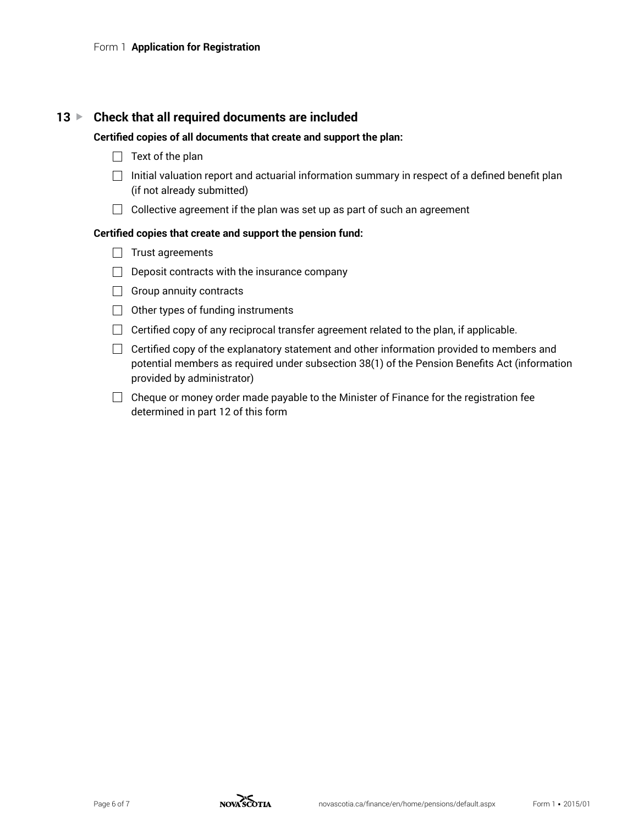# **13** ► Check that all required documents are included

#### **Certified copies of all documents that create and support the plan:**

- $\Box$  Text of the plan
- $\Box$  Initial valuation report and actuarial information summary in respect of a defined benefit plan (if not already submitted)
- $\Box$  Collective agreement if the plan was set up as part of such an agreement

#### **Certified copies that create and support the pension fund:**

- $\Box$  Trust agreements
- $\Box$  Deposit contracts with the insurance company
- $\Box$  Group annuity contracts
- $\Box$  Other types of funding instruments
- $\Box$  Certified copy of any reciprocal transfer agreement related to the plan, if applicable.
- $\Box$  Certified copy of the explanatory statement and other information provided to members and potential members as required under subsection 38(1) of the Pension Benefits Act (information provided by administrator)
- $\Box$  Cheque or money order made payable to the Minister of Finance for the registration fee determined in part 12 of this form